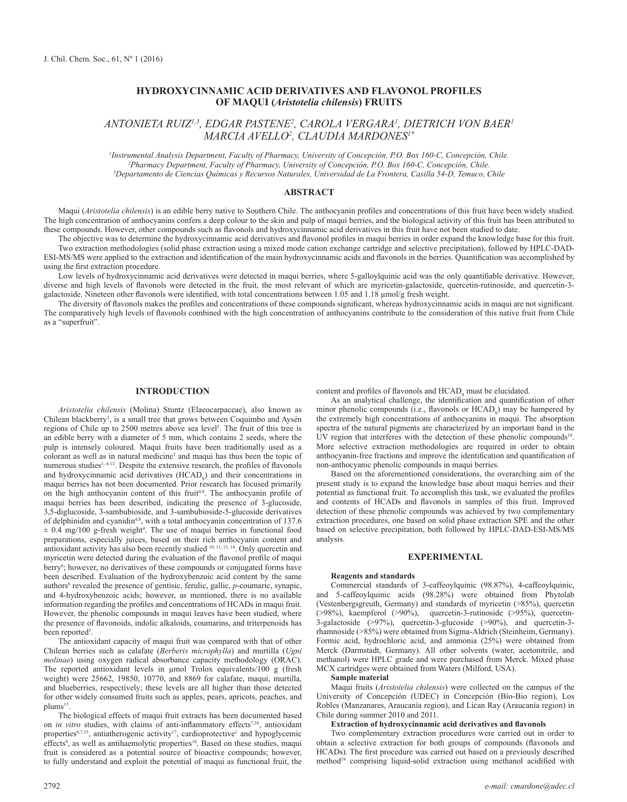# **HYDROXYCINNAMIC ACID DERIVATIVES AND FLAVONOL PROFILES OF MAQUI (***Aristotelia chilensis***) FRUITS**

*ANTONIETA RUIZ1,3, EDGAR PASTENE2 , CAROLA VERGARA1 , DIETRICH VON BAER1 MARCIA AVELLO2 , CLAUDIA MARDONES1\** 

*1 Instrumental Analysis Department, Faculty of Pharmacy, University of Concepción, P.O. Box 160-C, Concepción, Chile. 2 Pharmacy Department, Faculty of Pharmacy, University of Concepción, P.O. Box 160-C, Concepción, Chile. 3 Departamento de Ciencias Químicas y Recursos Naturales, Universidad de La Frontera, Casilla 54-D, Temuco, Chile*

# **ABSTRACT**

Maqui (*Aristotelia chilensis*) is an edible berry native to Southern Chile. The anthocyanin profiles and concentrations of this fruit have been widely studied. The high concentration of anthocyanins confers a deep colour to the skin and pulp of maqui berries, and the biological activity of this fruit has been attributed to these compounds. However, other compounds such as flavonols and hydroxycinnamic acid derivatives in this fruit have not been studied to date.

The objective was to determine the hydroxycinnamic acid derivatives and flavonol profiles in maqui berries in order expand the knowledge base for this fruit.

Two extraction methodologies (solid phase extraction using a mixed mode cation exchange cartridge and selective precipitation), followed by HPLC-DAD-ESI-MS/MS were applied to the extraction and identification of the main hydroxycinnamic acids and flavonols in the berries. Quantification was accomplished by using the first extraction procedure.

Low levels of hydroxycinnamic acid derivatives were detected in maqui berries, where 5-galloylquinic acid was the only quantifiable derivative. However, diverse and high levels of flavonols were detected in the fruit, the most relevant of which are myricetin-galactoside, quercetin-rutinoside, and quercetin-3 galactoside. Nineteen other flavonols were identified, with total concentrations between 1.05 and 1.18 µmol/g fresh weight.

The diversity of flavonols makes the profiles and concentrations of these compounds significant, whereas hydroxycinnamic acids in maqui are not significant. The comparatively high levels of flavonols combined with the high concentration of anthocyanins contribute to the consideration of this native fruit from Chile as a "superfruit".

# **INTRODUCTION**

*Aristotelia chilensis* (Molina) Stuntz (Elaeocarpaceae), also known as Chilean blackberry<sup>1</sup>, is a small tree that grows between Coquimbo and Aysén regions of Chile up to 2500 metres above sea level<sup>2</sup>. The fruit of this tree is an edible berry with a diameter of 5 mm, which contains 2 seeds, where the pulp is intensely coloured. Maqui fruits have been traditionally used as a colorant as well as in natural medicine<sup>3</sup> and maqui has thus been the topic of numerous studies<sup> $1, 4-12$ </sup>. Despite the extensive research, the profiles of flavonols and hydroxycinnamic acid derivatives  $(HCAD<sub>s</sub>)$  and their concentrations in maqui berries has not been documented. Prior research has focused primarily on the high anthocyanin content of this fruit<sup>4,8</sup>. The anthocyanin profile of maqui berries has been described, indicating the presence of 3-glucoside, 3,5-diglucoside, 3-sambubioside, and 3-sambubioside-5-glucoside derivatives of delphinidin and cyanidin<sup>4,8</sup>, with a total anthocyanin concentration of 137.6  $\pm$  0.4 mg/100 g-fresh weight<sup>4</sup>. The use of maqui berries in functional food preparations, especially juices, based on their rich anthocyanin content and antioxidant activity has also been recently studied <sup>10, 11, 13, 14</sup>. Only quercetin and myricetin were detected during the evaluation of the flavonol profile of maqui berry<sup>6</sup>; however, no derivatives of these compounds or conjugated forms have been described. Evaluation of the hydroxybenzoic acid content by the same authors<sup>6</sup> revealed the presence of gentisic, ferulic, gallic, *p*-coumaric, synapic, and 4-hydroxybenzoic acids; however, as mentioned, there is no available information regarding the profiles and concentrations of HCADs in maqui fruit. However, the phenolic compounds in maqui leaves have been studied, where the presence of flavonoids, indolic alkaloids, coumarins, and triterpenoids has been reported<sup>5</sup>.

The antioxidant capacity of maqui fruit was compared with that of other Chilean berries such as calafate (*Berberis microphylla*) and murtilla (*Ugni molinae*) using oxygen radical absorbance capacity methodology (ORAC). The reported antioxidant levels in umol Trolox equivalents/100 g (fresh weight) were 25662, 19850, 10770, and 8869 for calafate, maqui, murtilla, and blueberries, respectively; these levels are all higher than those detected for other widely consumed fruits such as apples, pears, apricots, peaches, and plums<sup>15</sup>.

The biological effects of maqui fruit extracts has been documented based on *in vitro* studies, with claims of anti-inflammatory effects<sup>7,16</sup>, antioxidant properties<sup>6,7,15</sup>, antiatherogenic activity<sup>17</sup>, cardioprotective<sup>1</sup> and hypoglycemic effects<sup>9</sup>, as well as antihaemolytic properties<sup>18</sup>. Based on these studies, maqui fruit is considered as a potential source of bioactive compounds; however, to fully understand and exploit the potential of maqui as functional fruit, the

content and profiles of flavonols and  $HCAD<sub>s</sub>$  must be elucidated.

As an analytical challenge, the identification and quantification of other minor phenolic compounds (i.e., flavonols or  $HCAD<sub>s</sub>$ ) may be hampered by the extremely high concentrations of anthocyanins in maqui. The absorption spectra of the natural pigments are characterized by an important band in the UV region that interferes with the detection of these phenolic compounds<sup>19</sup>. More selective extraction methodologies are required in order to obtain anthocyanin-free fractions and improve the identification and quantification of non-anthocyanic phenolic compounds in maqui berries.

Based on the aforementioned considerations, the overarching aim of the present study is to expand the knowledge base about maqui berries and their potential as functional fruit. To accomplish this task, we evaluated the profiles and contents of HCADs and flavonols in samples of this fruit. Improved detection of these phenolic compounds was achieved by two complementary extraction procedures, one based on solid phase extraction SPE and the other based on selective precipitation, both followed by HPLC-DAD-ESI-MS/MS analysis.

### **EXPERIMENTAL**

#### **Reagents and standards**

Commercial standards of 3-caffeoylquinic (98.87%), 4-caffeoylquinic, and 5-caffeoylquinic acids (98.28%) were obtained from Phytolab (Vestenbergsgreuth, Germany) and standards of myricetin (>85%), quercetin (>98%), kaempferol (>90%), quercetin-3-rutinoside (>95%), quercetin-3-galactoside (>97%), quercetin-3-glucoside (>90%), and quercetin-3 rhamnoside (>85%) were obtained from Sigma-Aldrich (Steinheim, Germany). Formic acid, hydrochloric acid, and ammonia (25%) were obtained from Merck (Darmstadt, Germany). All other solvents (water, acetonitrile, and methanol) were HPLC grade and were purchased from Merck. Mixed phase MCX cartridges were obtained from Waters (Milford, USA).

**Sample material**

Maqui fruits (*Aristotelia chilensis*) were collected on the campus of the University of Concepción (UDEC) in Concepción (Bío-Bio region), Los Robles (Manzanares, Araucanía region), and Lican Ray (Araucanía region) in Chile during summer 2010 and 2011.

### **Extraction of hydroxycinnamic acid derivatives and flavonols**

Two complementary extraction procedures were carried out in order to obtain a selective extraction for both groups of compounds (flavonols and HCADs). The first procedure was carried out based on a previously described method<sup>19</sup> comprising liquid-solid extraction using methanol acidified with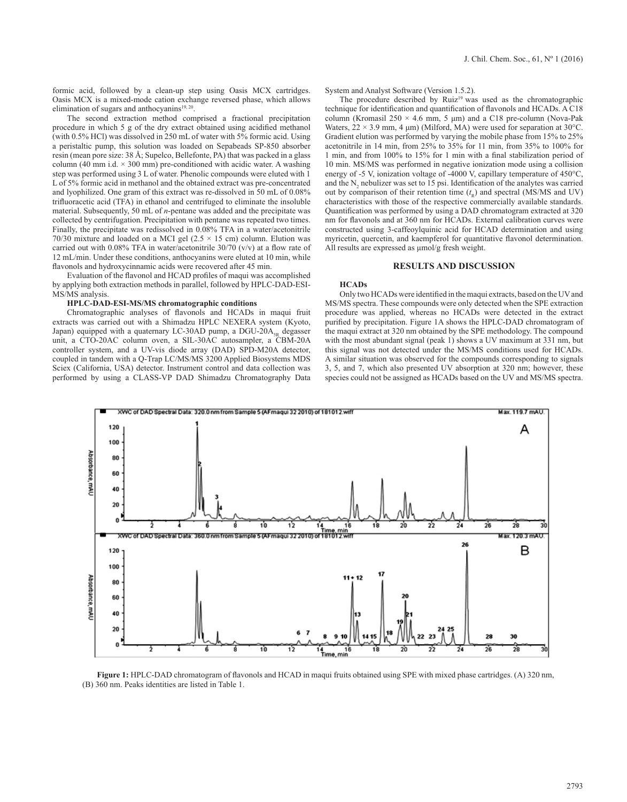formic acid, followed by a clean-up step using Oasis MCX cartridges. Oasis MCX is a mixed-mode cation exchange reversed phase, which allows elimination of sugars and anthocyanins $19, 20$ .

The second extraction method comprised a fractional precipitation procedure in which 5 g of the dry extract obtained using acidified methanol (with  $0.5\%$  HCl) was dissolved in 250 mL of water with  $5\%$  formic acid. Using a peristaltic pump, this solution was loaded on Sepabeads SP-850 absorber resin (mean pore size: 38 Å; Supelco, Bellefonte, PA) that was packed in a glass column (40 mm i.d.  $\times$  300 mm) pre-conditioned with acidic water. A washing step was performed using 3 L of water. Phenolic compounds were eluted with 1 L of 5% formic acid in methanol and the obtained extract was pre-concentrated and lyophilized. One gram of this extract was re-dissolved in 50 mL of 0.08% trifluoracetic acid (TFA) in ethanol and centrifuged to eliminate the insoluble material. Subsequently, 50 mL of *n*-pentane was added and the precipitate was collected by centrifugation. Precipitation with pentane was repeated two times. Finally, the precipitate was redissolved in 0.08% TFA in a water/acetonitrile 70/30 mixture and loaded on a MCI gel ( $2.5 \times 15$  cm) column. Elution was carried out with  $0.08\%$  TFA in water/acetonitrile  $30/70$  (v/v) at a flow rate of 12 mL/min. Under these conditions, anthocyanins were eluted at 10 min, while flavonols and hydroxycinnamic acids were recovered after 45 min.

Evaluation of the flavonol and HCAD profiles of maqui was accomplished by applying both extraction methods in parallel, followed by HPLC-DAD-ESI-MS/MS analysis.

#### **HPLC-DAD-ESI-MS/MS chromatographic conditions**

Chromatographic analyses of flavonols and HCADs in maqui fruit extracts was carried out with a Shimadzu HPLC NEXERA system (Kyoto, Japan) equipped with a quaternary LC-30AD pump, a  $DGU-20A<sub>5R</sub>$  degasser unit, a CTO-20AC column oven, a SIL-30AC autosampler, a CBM-20A controller system, and a UV-vis diode array (DAD) SPD-M20A detector, coupled in tandem with a Q-Trap LC/MS/MS 3200 Applied Biosystems MDS Sciex (California, USA) detector. Instrument control and data collection was performed by using a CLASS-VP DAD Shimadzu Chromatography Data System and Analyst Software (Version 1.5.2).

The procedure described by Ruiz<sup>19</sup> was used as the chromatographic technique for identification and quantification of flavonols and HCADs. A C18 column (Kromasil  $250 \times 4.6$  mm, 5  $\mu$ m) and a C18 pre-column (Nova-Pak Waters,  $22 \times 3.9$  mm, 4 µm) (Milford, MA) were used for separation at 30°C. Gradient elution was performed by varying the mobile phase from 15% to 25% acetonitrile in 14 min, from 25% to 35% for 11 min, from 35% to 100% for 1 min, and from 100% to 15% for 1 min with a final stabilization period of 10 min. MS/MS was performed in negative ionization mode using a collision energy of -5 V, ionization voltage of -4000 V, capillary temperature of 450°C, and the  $N_2$  nebulizer was set to 15 psi. Identification of the analytes was carried out by comparison of their retention time  $(t_R)$  and spectral (MS/MS and UV) characteristics with those of the respective commercially available standards. Quantification was performed by using a DAD chromatogram extracted at 320 nm for flavonols and at 360 nm for HCADs. External calibration curves were constructed using 3-caffeoylquinic acid for HCAD determination and using myricetin, quercetin, and kaempferol for quantitative flavonol determination. All results are expressed as  $\mu$ mol/g fresh weight.

### **RESULTS AND DISCUSSION**

#### **HCADs**

Only two HCADs were identified in the maqui extracts, based on the UV and MS/MS spectra. These compounds were only detected when the SPE extraction procedure was applied, whereas no HCADs were detected in the extract purified by precipitation. Figure 1A shows the HPLC-DAD chromatogram of the maqui extract at 320 nm obtained by the SPE methodology. The compound with the most abundant signal (peak 1) shows a UV maximum at 331 nm, but this signal was not detected under the MS/MS conditions used for HCADs. A similar situation was observed for the compounds corresponding to signals 3, 5, and 7, which also presented UV absorption at 320 nm; however, these species could not be assigned as HCADs based on the UV and MS/MS spectra.



**Figure 1:** HPLC-DAD chromatogram of flavonols and HCAD in maqui fruits obtained using SPE with mixed phase cartridges. (A) 320 nm, (B) 360 nm. Peaks identities are listed in Table 1.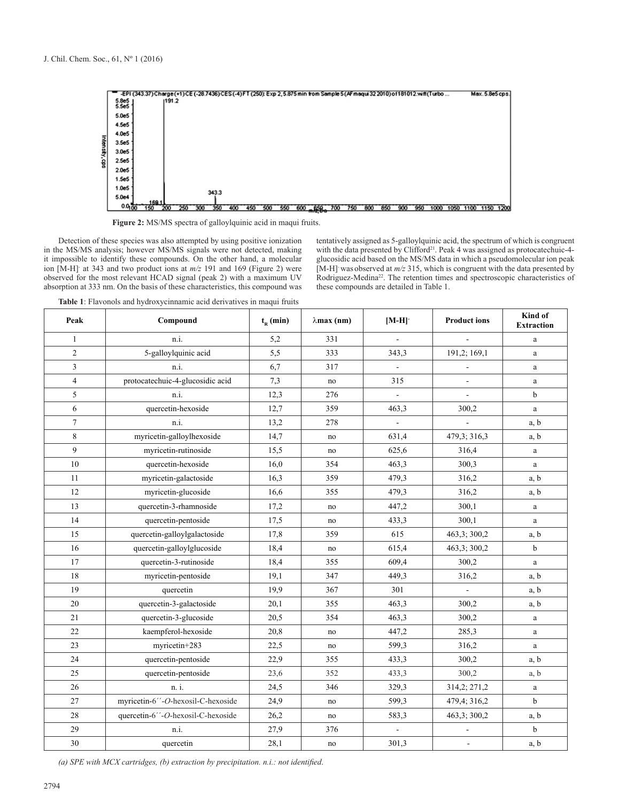

**Figure 2:** MS/MS spectra of galloylquinic acid in maqui fruits.

Detection of these species was also attempted by using positive ionization in the MS/MS analysis; however MS/MS signals were not detected, making it impossible to identify these compounds. On the other hand, a molecular ion [M-H]- at 343 and two product ions at *m/z* 191 and 169 (Figure 2) were observed for the most relevant HCAD signal (peak 2) with a maximum UV absorption at 333 nm. On the basis of these characteristics, this compound was tentatively assigned as 5-galloylquinic acid, the spectrum of which is congruent with the data presented by Clifford<sup>21</sup>. Peak 4 was assigned as protocatechuic-4glucosidic acid based on the MS/MS data in which a pseudomolecular ion peak [M-H]- was observed at *m/z* 315, which is congruent with the data presented by Rodriguez-Medina<sup>22</sup>. The retention times and spectroscopic characteristics of these compounds are detailed in Table 1.

**Table 1**: Flavonols and hydroxycinnamic acid derivatives in maqui fruits

| Peak           | Compound                          | $t_{R}$ (min) | $\lambda$ max (nm) | $[M-H]$                  | <b>Product ions</b> | Kind of<br><b>Extraction</b> |
|----------------|-----------------------------------|---------------|--------------------|--------------------------|---------------------|------------------------------|
| $\mathbf{1}$   | n.i.                              | 5,2           | 331                |                          |                     | a                            |
| $\overline{c}$ | 5-galloylquinic acid              | 5,5           | 333                | 343,3                    | 191,2; 169,1        | a                            |
| 3              | n.i.                              | 6,7           | 317                | $\overline{\phantom{a}}$ |                     | a                            |
| $\overline{4}$ | protocatechuic-4-glucosidic acid  | 7,3           | no                 | 315                      | $\overline{a}$      | a                            |
| 5              | n.i.                              | 12,3          | 276                | $\overline{a}$           | $\overline{a}$      | b                            |
| 6              | quercetin-hexoside                | 12,7          | 359                | 463,3                    | 300,2               | $\mathbf{a}$                 |
| $\tau$         | n.i.                              | 13,2          | 278                |                          |                     | a, b                         |
| 8              | myricetin-galloylhexoside         | 14,7          | no                 | 631,4                    | 479,3; 316,3        | a, b                         |
| 9              | myricetin-rutinoside              | 15,5          | no                 | 625,6                    | 316,4               | a                            |
| 10             | quercetin-hexoside                | 16,0          | 354                | 463,3                    | 300,3               | a                            |
| 11             | myricetin-galactoside             | 16,3          | 359                | 479,3                    | 316,2               | a, b                         |
| 12             | myricetin-glucoside               | 16,6          | 355                | 479,3                    | 316,2               | a, b                         |
| 13             | quercetin-3-rhamnoside            | 17,2          | no                 | 447,2                    | 300,1               | a                            |
| 14             | quercetin-pentoside               | 17,5          | no                 | 433,3                    | 300,1               | a                            |
| 15             | quercetin-galloylgalactoside      | 17,8          | 359                | 615                      | 463,3; 300,2        | a, b                         |
| 16             | quercetin-galloylglucoside        | 18,4          | no                 | 615,4                    | 463,3; 300,2        | b                            |
| 17             | quercetin-3-rutinoside            | 18,4          | 355                | 609,4                    | 300,2               | a                            |
| 18             | myricetin-pentoside               | 19,1          | 347                | 449,3                    | 316,2               | a, b                         |
| 19             | quercetin                         | 19.9          | 367                | 301                      | $\overline{a}$      | a, b                         |
| 20             | quercetin-3-galactoside           | 20,1          | 355                | 463,3                    | 300,2               | a, b                         |
| 21             | quercetin-3-glucoside             | 20,5          | 354                | 463,3                    | 300,2               | a                            |
| 22             | kaempferol-hexoside               | 20,8          | no                 | 447,2                    | 285,3               | a                            |
| 23             | myricetin+283                     | 22,5          | no                 | 599,3                    | 316,2               | a                            |
| 24             | quercetin-pentoside               | 22,9          | 355                | 433,3                    | 300,2               | a, b                         |
| 25             | quercetin-pentoside               | 23,6          | 352                | 433,3                    | 300,2               | a, b                         |
| 26             | n. i.                             | 24,5          | 346                | 329,3                    | 314,2; 271,2        | a                            |
| 27             | myricetin-6"-O-hexosil-C-hexoside | 24,9          | no                 | 599,3                    | 479,4; 316,2        | b                            |
| 28             | quercetin-6"-O-hexosil-C-hexoside | 26,2          | no                 | 583,3                    | 463,3; 300,2        | a, b                         |
| 29             | n.i.                              | 27,9          | 376                |                          | $\overline{a}$      | b                            |
| 30             | quercetin                         | 28,1          | no                 | 301,3                    | $\blacksquare$      | a, b                         |

*(a) SPE with MCX cartridges, (b) extraction by precipitation. n.i.: not identified*.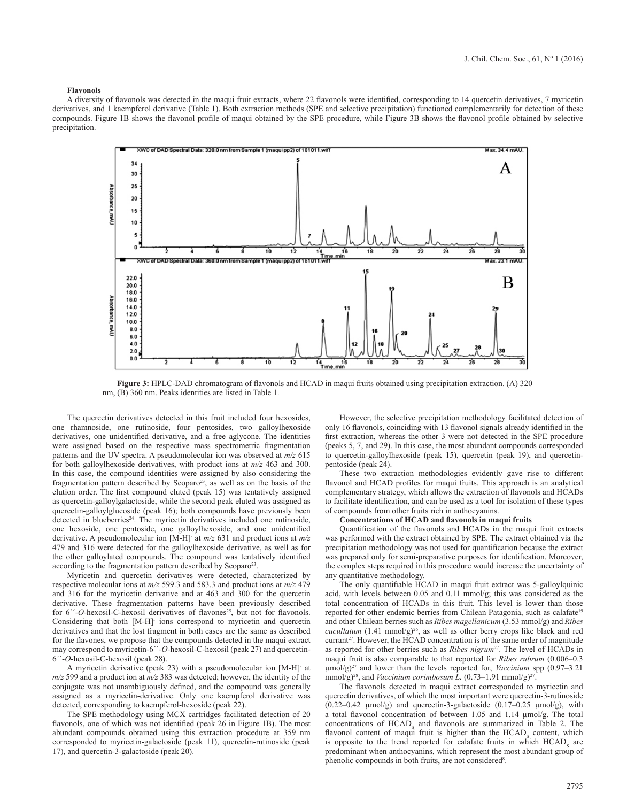#### **Flavonols**

A diversity of flavonols was detected in the maqui fruit extracts, where 22 flavonols were identified, corresponding to 14 quercetin derivatives, 7 myricetin derivatives, and 1 kaempferol derivative (Table 1). Both extraction methods (SPE and selective precipitation) functioned complementarily for detection of these compounds. Figure 1B shows the flavonol profile of maqui obtained by the SPE procedure, while Figure 3B shows the flavonol profile obtained by selective precipitation.



**Figure 3:** HPLC-DAD chromatogram of flavonols and HCAD in maqui fruits obtained using precipitation extraction. (A) 320 nm, (B) 360 nm. Peaks identities are listed in Table 1.

The quercetin derivatives detected in this fruit included four hexosides, one rhamnoside, one rutinoside, four pentosides, two galloylhexoside derivatives, one unidentified derivative, and a free aglycone. The identities were assigned based on the respective mass spectrometric fragmentation patterns and the UV spectra. A pseudomolecular ion was observed at *m/z* 615 for both galloylhexoside derivatives, with product ions at *m/z* 463 and 300. In this case, the compound identities were assigned by also considering the fragmentation pattern described by Scoparo<sup>23</sup>, as well as on the basis of the elution order. The first compound eluted (peak 15) was tentatively assigned as quercetin-galloylgalactoside, while the second peak eluted was assigned as quercetin-galloylglucoside (peak 16); both compounds have previously been detected in blueberries<sup>24</sup>. The myricetin derivatives included one rutinoside, one hexoside, one pentoside, one galloylhexoside, and one unidentified derivative. A pseudomolecular ion [M-H]- at *m/z* 631 and product ions at *m/z* 479 and 316 were detected for the galloylhexoside derivative, as well as for the other galloylated compounds. The compound was tentatively identified according to the fragmentation pattern described by Scoparo<sup>23</sup>

Myricetin and quercetin derivatives were detected, characterized by respective molecular ions at *m/z* 599.3 and 583.3 and product ions at *m/z* 479 and 316 for the myricetin derivative and at 463 and 300 for the quercetin derivative. These fragmentation patterns have been previously described for 6<sup>"</sup>-O-hexosil-C-hexosil derivatives of flavones<sup>25</sup>, but not for flavonols. Considering that both [M-H]- ions correspond to myricetin and quercetin derivatives and that the lost fragment in both cases are the same as described for the flavones, we propose that the compounds detected in the maqui extract may correspond to myricetin-6´´-*O*-hexosil-C-hexosil (peak 27) and quercetin-6´´-*O*-hexosil-C-hexosil (peak 28).

A myricetin derivative (peak 23) with a pseudomolecular ion [M-H]- at *m/z* 599 and a product ion at *m/z* 383 was detected; however, the identity of the conjugate was not unambiguously defined, and the compound was generally assigned as a myricetin-derivative. Only one kaempferol derivative was detected, corresponding to kaempferol-hexoside (peak 22).

The SPE methodology using MCX cartridges facilitated detection of 20 flavonols, one of which was not identified (peak 26 in Figure 1B). The most abundant compounds obtained using this extraction procedure at 359 nm corresponded to myricetin-galactoside (peak 11), quercetin-rutinoside (peak 17), and quercetin-3-galactoside (peak 20).

However, the selective precipitation methodology facilitated detection of only 16 flavonols, coinciding with 13 flavonol signals already identified in the first extraction, whereas the other 3 were not detected in the SPE procedure (peaks 5, 7, and 29). In this case, the most abundant compounds corresponded to quercetin-galloylhexoside (peak 15), quercetin (peak 19), and quercetinpentoside (peak 24).

These two extraction methodologies evidently gave rise to different flavonol and HCAD profiles for maqui fruits. This approach is an analytical complementary strategy, which allows the extraction of flavonols and HCADs to facilitate identification, and can be used as a tool for isolation of these types of compounds from other fruits rich in anthocyanins.

#### **Concentrations of HCAD and flavonols in maqui fruits**

Quantification of the flavonols and HCADs in the maqui fruit extracts was performed with the extract obtained by SPE. The extract obtained via the precipitation methodology was not used for quantification because the extract was prepared only for semi-preparative purposes for identification. Moreover, the complex steps required in this procedure would increase the uncertainty of any quantitative methodology.

The only quantifiable HCAD in maqui fruit extract was 5-galloylquinic acid, with levels between 0.05 and 0.11 mmol/g; this was considered as the total concentration of HCADs in this fruit. This level is lower than those reported for other endemic berries from Chilean Patagonia, such as calafate<sup>19</sup> and other Chilean berries such as *Ribes magellanicum* (3.53 mmol/g) and *Ribes cucullatum* (1.41 mmol/g)<sup>26</sup>, as well as other berry crops like black and red currant<sup>27</sup>. However, the HCAD concentration is of the same order of magnitude as reported for other berries such as *Ribes nigrum*<sup>27</sup>. The level of HCADs in maqui fruit is also comparable to that reported for *Ribes rubrum* (0.006–0.3 µmol/g)<sup>27</sup> and lower than the levels reported for, *Vaccinium* spp (0.97–3.21 mmol/g)<sup>28</sup>, and *Vaccinium corimbosum L.*  $(0.73-1.91 \text{ mmol/g})^{27}$ .

The flavonols detected in maqui extract corresponded to myricetin and quercetin derivatives, of which the most important were quercetin-3-rutinoside  $(0.22-0.42 \mu \text{mol/g})$  and quercetin-3-galactoside  $(0.17-0.25 \mu \text{mol/g})$ , with a total flavonol concentration of between 1.05 and 1.14 µmol/g. The total concentrations of  $HCAD<sub>s</sub>$  and flavonols are summarized in Table 2. The flavonol content of maqui fruit is higher than the  $HCAD<sub>s</sub>$  content, which is opposite to the trend reported for calafate fruits in which  $HCAD<sub>s</sub>$  are predominant when anthocyanins, which represent the most abundant group of phenolic compounds in both fruits, are not considered<sup>8</sup>.